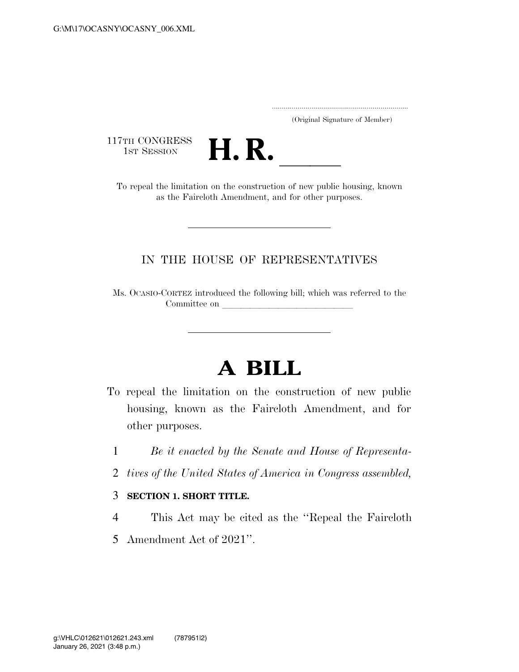..................................................................... (Original Signature of Member)

117TH CONGRESS<br>1st Session



TTH CONGRESS<br>
1ST SESSION<br>
To repeal the limitation on the construction of new public housing, known as the Faircloth Amendment, and for other purposes.

## IN THE HOUSE OF REPRESENTATIVES

Ms. OCASIO-CORTEZ introduced the following bill; which was referred to the Committee on

## **A BILL**

- To repeal the limitation on the construction of new public housing, known as the Faircloth Amendment, and for other purposes.
	- 1 *Be it enacted by the Senate and House of Representa-*
	- 2 *tives of the United States of America in Congress assembled,*

## 3 **SECTION 1. SHORT TITLE.**

- 4 This Act may be cited as the ''Repeal the Faircloth
- 5 Amendment Act of 2021''.